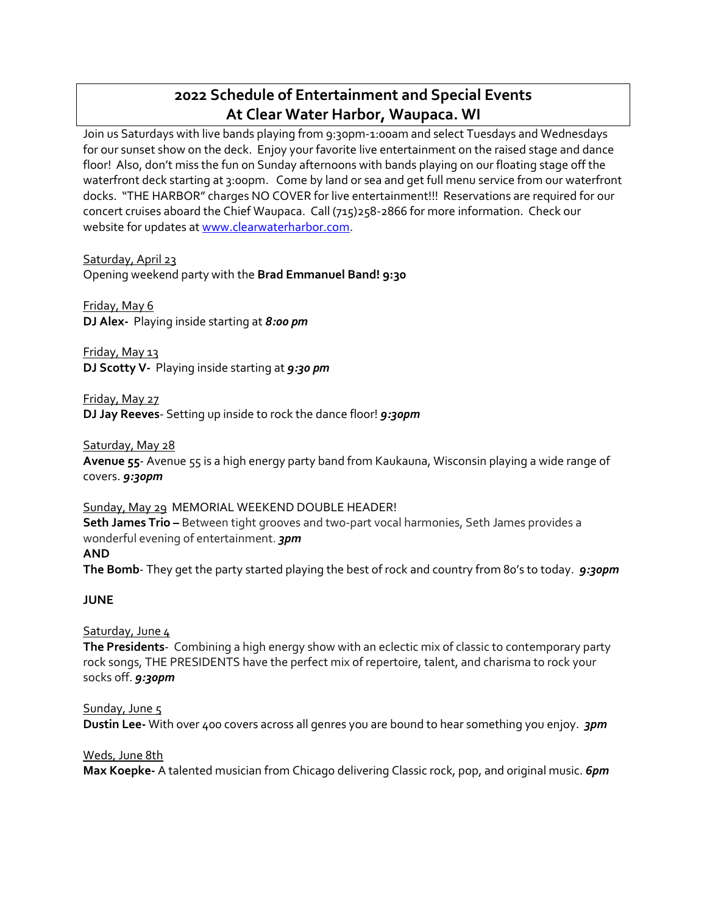# **2022 Schedule of Entertainment and Special Events At Clear Water Harbor, Waupaca. WI**

Join us Saturdays with live bands playing from 9:30pm-1:00am and select Tuesdays and Wednesdays for our sunset show on the deck. Enjoy your favorite live entertainment on the raised stage and dance floor! Also, don't miss the fun on Sunday afternoons with bands playing on our floating stage off the waterfront deck starting at 3:00pm. Come by land or sea and get full menu service from our waterfront docks. "THE HARBOR" charges NO COVER for live entertainment!!! Reservations are required for our concert cruises aboard the Chief Waupaca. Call (715)258-2866 for more information. Check our website for updates a[t www.clearwaterharbor.com.](http://www.clearwaterharbor.com/)

Saturday, April 23

Opening weekend party with the **Brad Emmanuel Band! 9:30**

Friday, May 6

**DJ Alex-** Playing inside starting at *8:00 pm*

Friday, May 13 **DJ Scotty V-** Playing inside starting at *9:30 pm*

Friday, May 27 **DJ Jay Reeves**- Setting up inside to rock the dance floor! *9:30pm*

Saturday, May 28

**Avenue 55**- Avenue 55 is a high energy party band from Kaukauna, Wisconsin playing a wide range of covers. *9:30pm*

Sunday, May 29 MEMORIAL WEEKEND DOUBLE HEADER! **Seth James Trio –** Between tight grooves and two-part vocal harmonies, Seth James provides a wonderful evening of entertainment. *3pm*  **AND**

**The Bomb**- They get the party started playing the best of rock and country from 80's to today. *9:30pm*

**JUNE**

Saturday, June 4

**The Presidents**- Combining a high energy show with an eclectic mix of classic to contemporary party rock songs, THE PRESIDENTS have the perfect mix of repertoire, talent, and charisma to rock your socks off. *9:30pm*

Sunday, June 5 **Dustin Lee-** With over 400 covers across all genres you are bound to hear something you enjoy. *3pm*

Weds, June 8th **Max Koepke-** A talented musician from Chicago delivering Classic rock, pop, and original music. *6pm*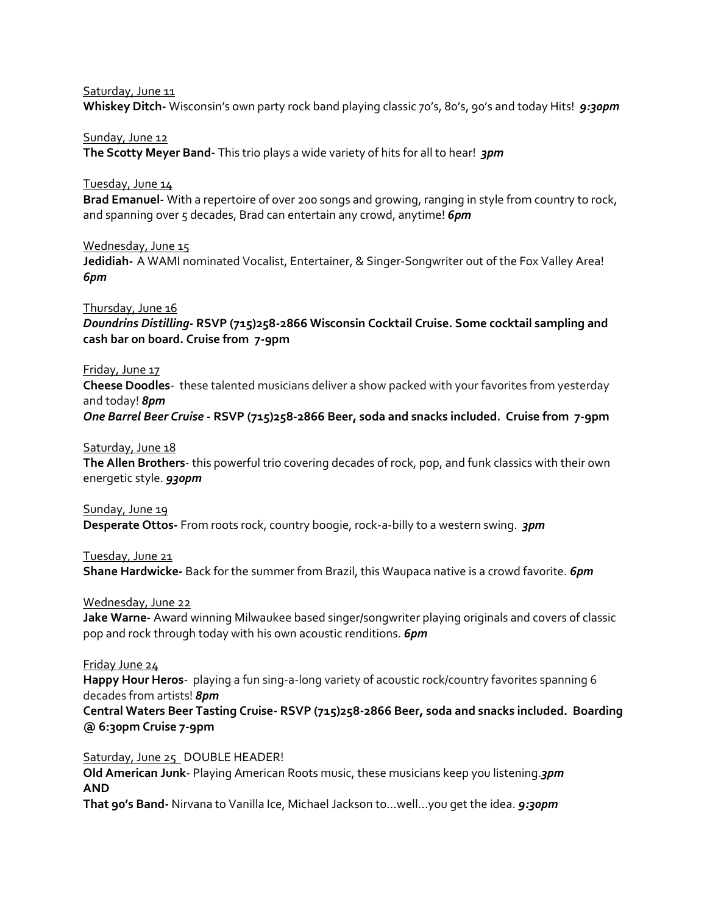Saturday, June 11

**Whiskey Ditch-** Wisconsin's own party rock band playing classic 70's, 80's, 90's and today Hits! *9:30pm*

#### Sunday, June 12

**The Scotty Meyer Band-** This trio plays a wide variety of hits for all to hear! *3pm*

# Tuesday, June 14

**Brad Emanuel-** With a repertoire of over 200 songs and growing, ranging in style from country to rock, and spanning over 5 decades, Brad can entertain any crowd, anytime! **6pm** 

# Wednesday, June 15

**Jedidiah-** A WAMI nominated Vocalist, Entertainer, & Singer-Songwriter out of the Fox Valley Area! *6pm*

# Thursday, June 16 *Doundrins Distilling***- RSVP (715)258-2866 Wisconsin Cocktail Cruise. Some cocktail sampling and cash bar on board. Cruise from 7-9pm**

# Friday, June 17

**Cheese Doodles**- these talented musicians deliver a show packed with your favorites from yesterday and today! *8pm*

*One Barrel Beer Cruise* **- RSVP (715)258-2866 Beer, soda and snacks included. Cruise from 7-9pm**

# Saturday, June 18

**The Allen Brothers**- this powerful trio covering decades of rock, pop, and funk classics with their own energetic style. *930pm*

# Sunday, June 19

**Desperate Ottos-** From roots rock, country boogie, rock-a-billy to a western swing. *3pm*

Tuesday, June 21

**Shane Hardwicke-** Back for the summer from Brazil, this Waupaca native is a crowd favorite. *6pm*

# Wednesday, June 22

**Jake Warne-** Award winning Milwaukee based singer/songwriter playing originals and covers of classic pop and rock through today with his own acoustic renditions. *6pm*

# Friday June 24

**Happy Hour Heros**- playing a fun sing-a-long variety of acoustic rock/country favorites spanning 6 decades from artists! *8pm*

**Central Waters Beer Tasting Cruise- RSVP (715)258-2866 Beer, soda and snacks included. Boarding @ 6:30pm Cruise 7-9pm**

# Saturday, June 25 DOUBLE HEADER!

**Old American Junk**- Playing American Roots music, these musicians keep you listening.*3pm* **AND**

**That 90's Band-** Nirvana to Vanilla Ice, Michael Jackson to…well…you get the idea. *9:30pm*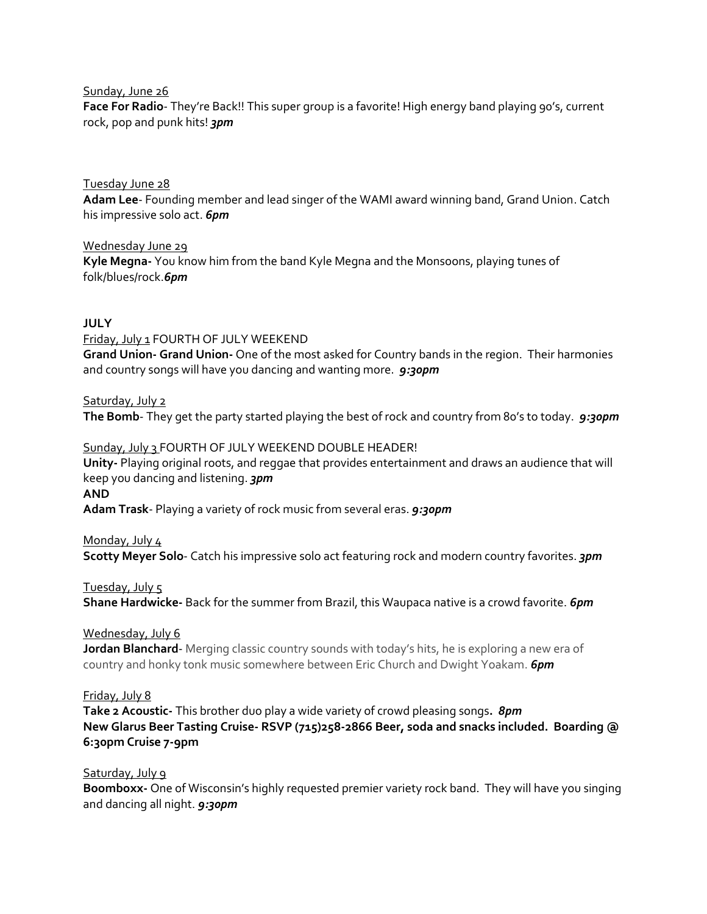#### Sunday, June 26

**Face For Radio**- They're Back!! This super group is a favorite! High energy band playing 90's, current rock, pop and punk hits! *3pm*

# Tuesday June 28 **Adam Lee**- Founding member and lead singer of the WAMI award winning band, Grand Union. Catch his impressive solo act. *6pm*

Wednesday June 29 **Kyle Megna-** You know him from the band Kyle Megna and the Monsoons, playing tunes of folk/blues/rock.*6pm*

# **JULY**

Friday, July 1 FOURTH OF JULY WEEKEND **Grand Union- Grand Union-** One of the most asked for Country bands in the region. Their harmonies and country songs will have you dancing and wanting more. *9:30pm*

# Saturday, July 2

**The Bomb**- They get the party started playing the best of rock and country from 80's to today. *9:30pm*

Sunday, July 3 FOURTH OF JULY WEEKEND DOUBLE HEADER! **Unity-** Playing original roots, and reggae that provides entertainment and draws an audience that will keep you dancing and listening. *3pm* **AND Adam Trask**- Playing a variety of rock music from several eras. *9:30pm*

# Monday, July 4

**Scotty Meyer Solo**- Catch his impressive solo act featuring rock and modern country favorites. *3pm*

# Tuesday, July 5

**Shane Hardwicke-** Back for the summer from Brazil, this Waupaca native is a crowd favorite. *6pm*

# Wednesday, July 6

**Jordan Blanchard**- Merging classic country sounds with today's hits, he is exploring a new era of country and honky tonk music somewhere between Eric Church and Dwight Yoakam. *6pm*

# Friday, July 8

**Take 2 Acoustic-** This brother duo play a wide variety of crowd pleasing songs**.** *8pm* **New Glarus Beer Tasting Cruise- RSVP (715)258-2866 Beer, soda and snacks included. Boarding @ 6:30pm Cruise 7-9pm**

# Saturday, July 9

**Boomboxx-** One of Wisconsin's highly requested premier variety rock band. They will have you singing and dancing all night. *9:30pm*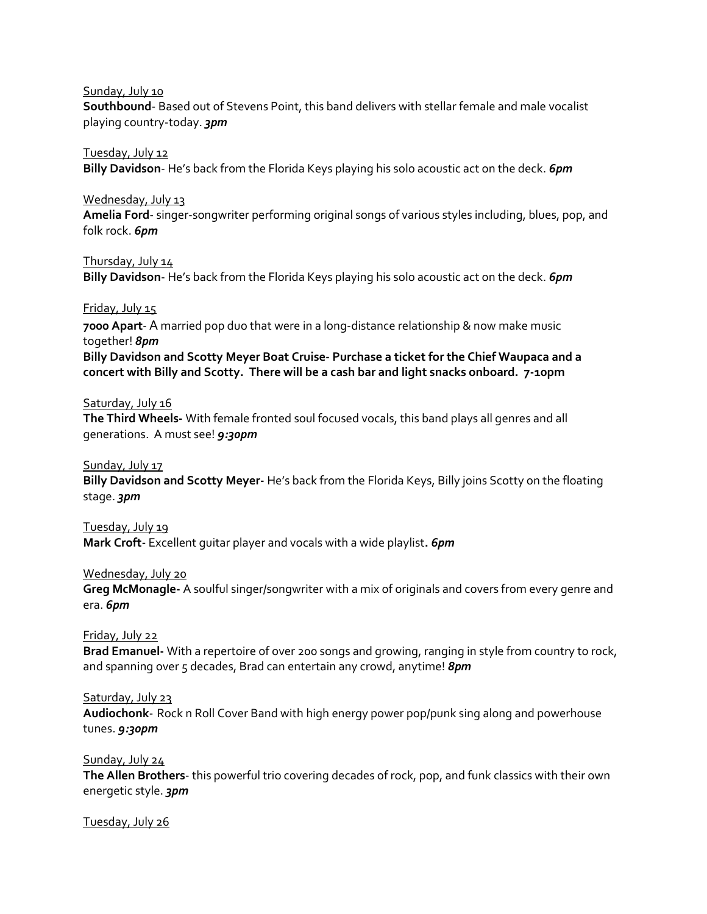#### Sunday, July 10

**Southbound**- Based out of Stevens Point, this band delivers with stellar female and male vocalist playing country-today. *3pm*

# Tuesday, July 12

**Billy Davidson**- He's back from the Florida Keys playing his solo acoustic act on the deck. *6pm*

# Wednesday, July 13

**Amelia Ford**- singer-songwriter performing original songs of various styles including, blues, pop, and folk rock. *6pm*

# Thursday, July 14

**Billy Davidson**- He's back from the Florida Keys playing his solo acoustic act on the deck. *6pm*

# Friday, July 15

**7000 Apart**- A married pop duo that were in a long-distance relationship & now make music together! *8pm*

**Billy Davidson and Scotty Meyer Boat Cruise- Purchase a ticket for the Chief Waupaca and a concert with Billy and Scotty. There will be a cash bar and light snacks onboard. 7-10pm**

# Saturday, July 16

**The Third Wheels-** With female fronted soul focused vocals, this band plays all genres and all generations. A must see! *9:30pm*

# Sunday, July 17

**Billy Davidson and Scotty Meyer-** He's back from the Florida Keys, Billy joins Scotty on the floating stage. *3pm*

# Tuesday, July 19

**Mark Croft-** Excellent guitar player and vocals with a wide playlist**.** *6pm*

# Wednesday, July 20

**Greg McMonagle-** A soulful singer/songwriter with a mix of originals and covers from every genre and era. *6pm*

# Friday, July 22

**Brad Emanuel-** With a repertoire of over 200 songs and growing, ranging in style from country to rock, and spanning over 5 decades, Brad can entertain any crowd, anytime! *8pm* 

# Saturday, July 23

**Audiochonk**- Rock n Roll Cover Band with high energy power pop/punk sing along and powerhouse tunes. *9:30pm*

# Sunday, July 24

**The Allen Brothers**- this powerful trio covering decades of rock, pop, and funk classics with their own energetic style. *3pm*

# Tuesday, July 26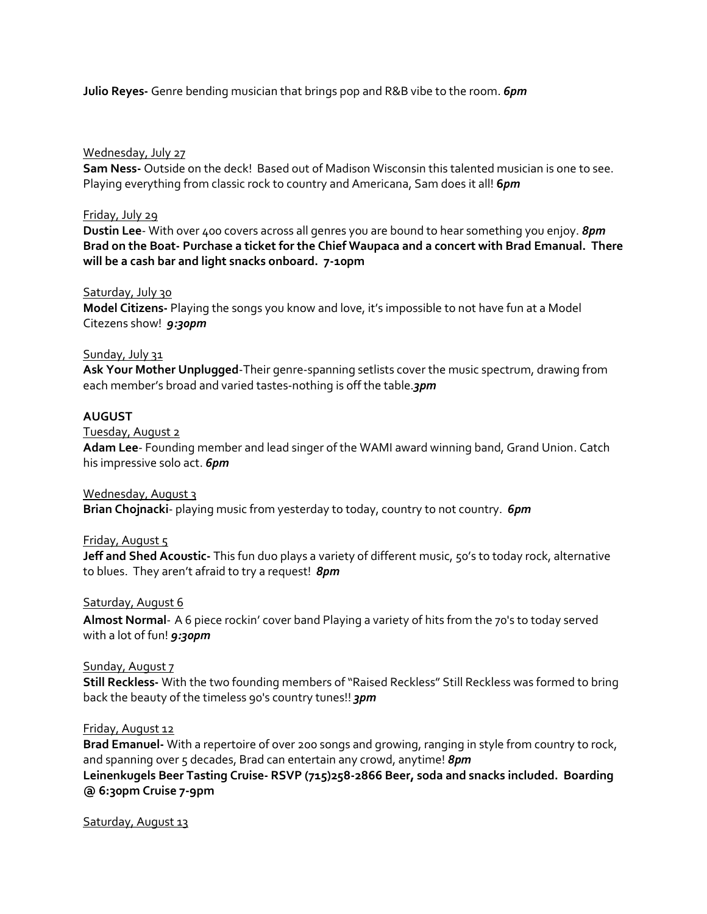**Julio Reyes-** Genre bending musician that brings pop and R&B vibe to the room. *6pm*

# Wednesday, July 27

**Sam Ness-** Outside on the deck! Based out of Madison Wisconsin this talented musician is one to see. Playing everything from classic rock to country and Americana, Sam does it all! **6***pm*

# Friday, July 29

**Dustin Lee**- With over 400 covers across all genres you are bound to hear something you enjoy. *8pm* **Brad on the Boat- Purchase a ticket for the Chief Waupaca and a concert with Brad Emanual. There will be a cash bar and light snacks onboard. 7-10pm** 

# Saturday, July 30

**Model Citizens-** Playing the songs you know and love, it's impossible to not have fun at a Model Citezens show! *9:30pm*

# Sunday, July 31

**Ask Your Mother Unplugged**-Their genre-spanning setlists cover the music spectrum, drawing from each member's broad and varied tastes-nothing is off the table.*3pm*

# **AUGUST**

Tuesday, August 2

**Adam Lee**- Founding member and lead singer of the WAMI award winning band, Grand Union. Catch his impressive solo act. *6pm*

# Wednesday, August 3

**Brian Chojnacki**- playing music from yesterday to today, country to not country. *6pm*

# Friday, August 5

**Jeff and Shed Acoustic-** This fun duo plays a variety of different music, 50's to today rock, alternative to blues. They aren't afraid to try a request! *8pm*

# Saturday, August 6

**Almost Normal**- A 6 piece rockin' cover band Playing a variety of hits from the 70's to today served with a lot of fun! *9:30pm*

# Sunday, August 7

**Still Reckless-** With the two founding members of "Raised Reckless" Still Reckless was formed to bring back the beauty of the timeless 90's country tunes!! *3pm*

# Friday, August 12

**Brad Emanuel-** With a repertoire of over 200 songs and growing, ranging in style from country to rock, and spanning over 5 decades, Brad can entertain any crowd, anytime! 8pm **Leinenkugels Beer Tasting Cruise- RSVP (715)258-2866 Beer, soda and snacks included. Boarding @ 6:30pm Cruise 7-9pm**

# Saturday, August 13